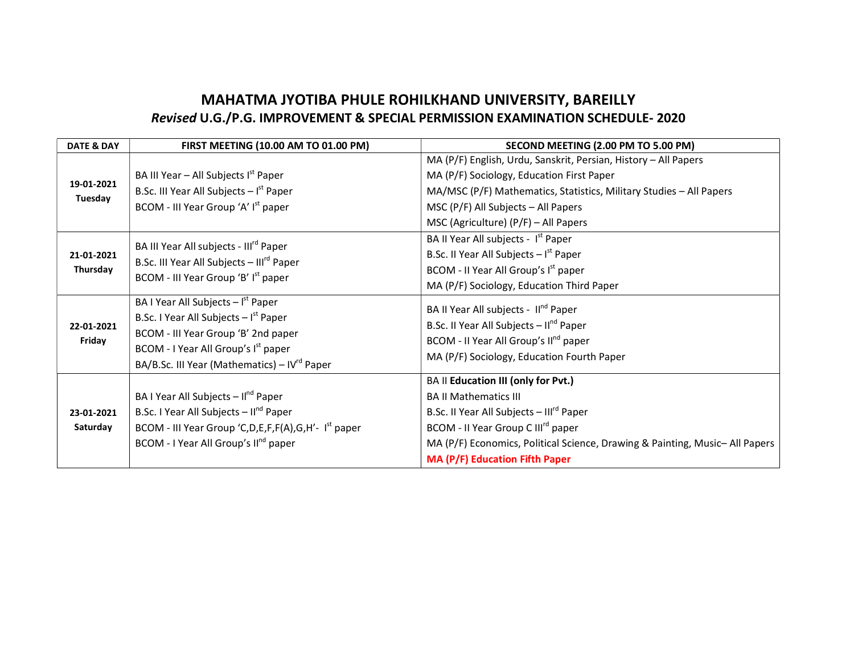## MAHATMA JYOTIBA PHULE ROHILKHAND UNIVERSITY, BAREILLY Revised U.G./P.G. IMPROVEMENT & SPECIAL PERMISSION EXAMINATION SCHEDULE- 2020

| <b>DATE &amp; DAY</b>  | FIRST MEETING (10.00 AM TO 01.00 PM)                                                                                                                           | SECOND MEETING (2.00 PM TO 5.00 PM)                                         |
|------------------------|----------------------------------------------------------------------------------------------------------------------------------------------------------------|-----------------------------------------------------------------------------|
| 19-01-2021<br>Tuesday  |                                                                                                                                                                | MA (P/F) English, Urdu, Sanskrit, Persian, History - All Papers             |
|                        | BA III Year - All Subjects I <sup>st</sup> Paper                                                                                                               | MA (P/F) Sociology, Education First Paper                                   |
|                        | B.Sc. III Year All Subjects $-$ I <sup>st</sup> Paper                                                                                                          | MA/MSC (P/F) Mathematics, Statistics, Military Studies - All Papers         |
|                        | BCOM - III Year Group 'A' I <sup>st</sup> paper                                                                                                                | MSC ( $P/F$ ) All Subjects – All Papers                                     |
|                        |                                                                                                                                                                | MSC (Agriculture) $(P/F)$ – All Papers                                      |
| 21-01-2021<br>Thursday | BA III Year All subjects - III <sup>rd</sup> Paper<br>B.Sc. III Year All Subjects - III <sup>rd</sup> Paper<br>BCOM - III Year Group 'B' I <sup>st</sup> paper | BA II Year All subjects - I <sup>st</sup> Paper                             |
|                        |                                                                                                                                                                | B.Sc. II Year All Subjects $-Ist$ Paper                                     |
|                        |                                                                                                                                                                | BCOM - II Year All Group's I <sup>st</sup> paper                            |
|                        |                                                                                                                                                                | MA (P/F) Sociology, Education Third Paper                                   |
| 22-01-2021<br>Friday   | BA I Year All Subjects $ Ist$ Paper                                                                                                                            | BA II Year All subjects - Il <sup>nd</sup> Paper                            |
|                        | B.Sc. I Year All Subjects $-Ist$ Paper                                                                                                                         | B.Sc. II Year All Subjects - II <sup>nd</sup> Paper                         |
|                        | BCOM - III Year Group 'B' 2nd paper                                                                                                                            | BCOM - II Year All Group's II <sup>nd</sup> paper                           |
|                        | BCOM - I Year All Group's I <sup>st</sup> paper                                                                                                                | MA (P/F) Sociology, Education Fourth Paper                                  |
|                        | BA/B.Sc. III Year (Mathematics) - IV <sup>rd</sup> Paper                                                                                                       |                                                                             |
|                        |                                                                                                                                                                | BA II Education III (only for Pvt.)                                         |
|                        | BA I Year All Subjects - Il <sup>nd</sup> Paper                                                                                                                | <b>BA II Mathematics III</b>                                                |
| 23-01-2021             | B.Sc. I Year All Subjects - Il <sup>nd</sup> Paper                                                                                                             | B.Sc. II Year All Subjects - Ill <sup>rd</sup> Paper                        |
| Saturday               | BCOM - III Year Group 'C,D,E,F,F(A),G,H'-I <sup>st</sup> paper                                                                                                 | BCOM - II Year Group C III <sup>rd</sup> paper                              |
|                        | BCOM - I Year All Group's II <sup>nd</sup> paper                                                                                                               | MA (P/F) Economics, Political Science, Drawing & Painting, Music-All Papers |
|                        |                                                                                                                                                                | <b>MA (P/F) Education Fifth Paper</b>                                       |